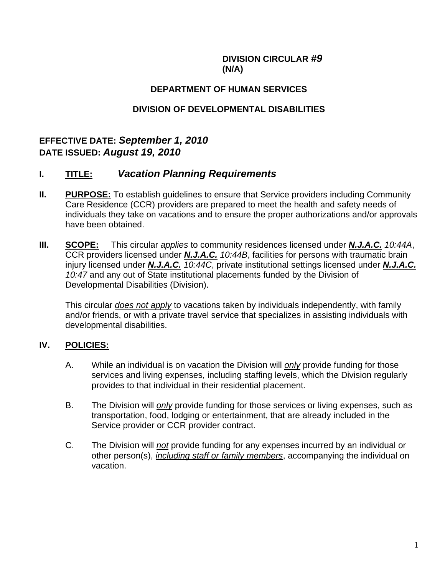#### **DIVISION CIRCULAR** *#9*   **(N/A)**

#### **DEPARTMENT OF HUMAN SERVICES**

### **DIVISION OF DEVELOPMENTAL DISABILITIES**

# **EFFECTIVE DATE:** *September 1, 2010*  **DATE ISSUED:** *August 19, 2010*

# **I. TITLE:** *Vacation Planning Requirements*

- **II.** PURPOSE: To establish guidelines to ensure that Service providers including Community Care Residence (CCR) providers are prepared to meet the health and safety needs of individuals they take on vacations and to ensure the proper authorizations and/or approvals have been obtained.
- **III. SCOPE:** This circular *applies* to community residences licensed under *N.J.A.C. 10:44A*, CCR providers licensed under *N.J.A.C. 10:44B*, facilities for persons with traumatic brain injury licensed under *N.J.A.C. 10:44C*, private institutional settings licensed under *N.J.A.C. 10:47* and any out of State institutional placements funded by the Division of Developmental Disabilities (Division).

This circular *does not apply* to vacations taken by individuals independently, with family and/or friends, or with a private travel service that specializes in assisting individuals with developmental disabilities.

#### **IV. POLICIES:**

- A. While an individual is on vacation the Division will *only* provide funding for those services and living expenses, including staffing levels, which the Division regularly provides to that individual in their residential placement.
- B. The Division will *only* provide funding for those services or living expenses, such as transportation, food, lodging or entertainment, that are already included in the Service provider or CCR provider contract.
- C. The Division will *not* provide funding for any expenses incurred by an individual or other person(s), *including staff or family members*, accompanying the individual on vacation.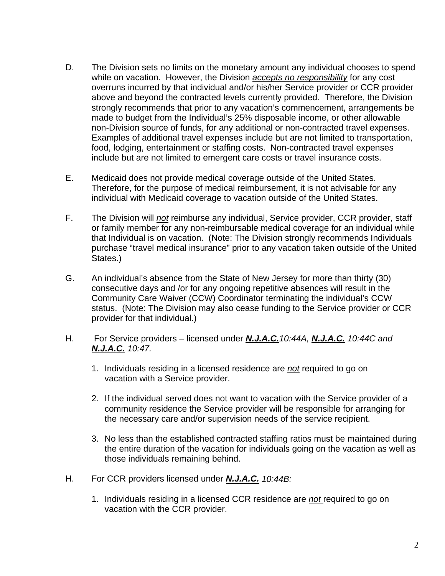- D. The Division sets no limits on the monetary amount any individual chooses to spend while on vacation. However, the Division *accepts no responsibility* for any cost overruns incurred by that individual and/or his/her Service provider or CCR provider above and beyond the contracted levels currently provided. Therefore, the Division strongly recommends that prior to any vacation's commencement, arrangements be made to budget from the Individual's 25% disposable income, or other allowable non-Division source of funds, for any additional or non-contracted travel expenses. Examples of additional travel expenses include but are not limited to transportation, food, lodging, entertainment or staffing costs. Non-contracted travel expenses include but are not limited to emergent care costs or travel insurance costs.
- E. Medicaid does not provide medical coverage outside of the United States. Therefore, for the purpose of medical reimbursement, it is not advisable for any individual with Medicaid coverage to vacation outside of the United States.
- F. The Division will *not* reimburse any individual, Service provider, CCR provider, staff or family member for any non-reimbursable medical coverage for an individual while that Individual is on vacation. (Note: The Division strongly recommends Individuals purchase "travel medical insurance" prior to any vacation taken outside of the United States.)
- G. An individual's absence from the State of New Jersey for more than thirty (30) consecutive days and /or for any ongoing repetitive absences will result in the Community Care Waiver (CCW) Coordinator terminating the individual's CCW status. (Note: The Division may also cease funding to the Service provider or CCR provider for that individual.)
- H. For Service providers licensed under *N.J.A.C.10:44A, N.J.A.C. 10:44C and N.J.A.C. 10:47.* 
	- 1. Individuals residing in a licensed residence are *not* required to go on vacation with a Service provider.
	- 2. If the individual served does not want to vacation with the Service provider of a community residence the Service provider will be responsible for arranging for the necessary care and/or supervision needs of the service recipient.
	- 3. No less than the established contracted staffing ratios must be maintained during the entire duration of the vacation for individuals going on the vacation as well as those individuals remaining behind.
- H. For CCR providers licensed under *N.J.A.C. 10:44B:*
	- 1. Individuals residing in a licensed CCR residence are *not* required to go on vacation with the CCR provider.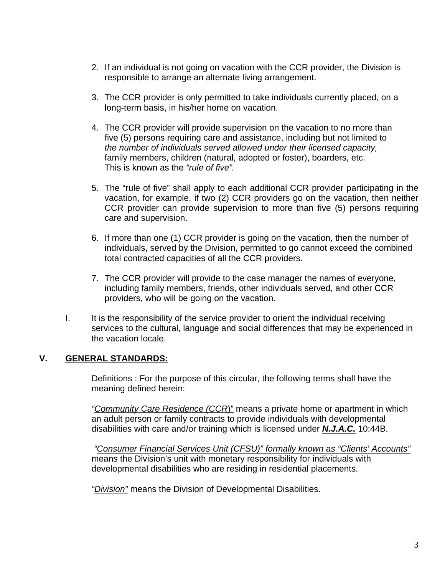- 2. If an individual is not going on vacation with the CCR provider, the Division is responsible to arrange an alternate living arrangement.
- 3. The CCR provider is only permitted to take individuals currently placed, on a long-term basis, in his/her home on vacation.
- 4. The CCR provider will provide supervision on the vacation to no more than five (5) persons requiring care and assistance, including but not limited to *the number of individuals served allowed under their licensed capacity,*  family members, children (natural, adopted or foster), boarders, etc. This is known as the *"rule of five".*
- 5. The "rule of five" shall apply to each additional CCR provider participating in the vacation, for example, if two (2) CCR providers go on the vacation, then neither CCR provider can provide supervision to more than five (5) persons requiring care and supervision.
- 6. If more than one (1) CCR provider is going on the vacation, then the number of individuals, served by the Division, permitted to go cannot exceed the combined total contracted capacities of all the CCR providers.
- 7. The CCR provider will provide to the case manager the names of everyone, including family members, friends, other individuals served, and other CCR providers, who will be going on the vacation.
- I. It is the responsibility of the service provider to orient the individual receiving services to the cultural, language and social differences that may be experienced in the vacation locale.

#### **V. GENERAL STANDARDS:**

Definitions : For the purpose of this circular, the following terms shall have the meaning defined herein:

*"Community Care Residence (CCR*)" means a private home or apartment in which an adult person or family contracts to provide individuals with developmental disabilities with care and/or training which is licensed under *N.J.A.C.* 10:44B.

 *"Consumer Financial Services Unit (CFSU)" formally known as "Clients' Accounts"* means the Division's unit with monetary responsibility for individuals with developmental disabilities who are residing in residential placements.

*"Division"* means the Division of Developmental Disabilities.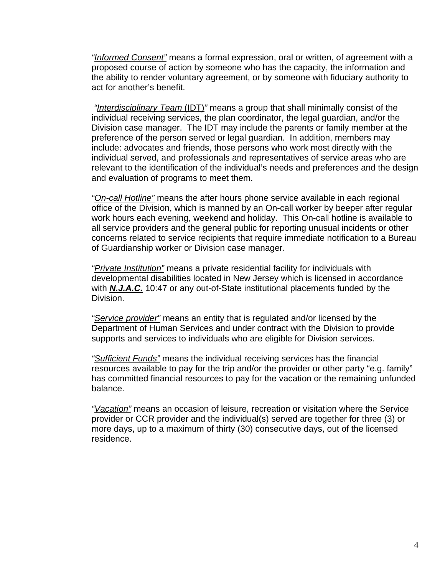*"Informed Consent"* means a formal expression, oral or written, of agreement with a proposed course of action by someone who has the capacity, the information and the ability to render voluntary agreement, or by someone with fiduciary authority to act for another's benefit.

 *"Interdisciplinary Team* (IDT)*"* means a group that shall minimally consist of the individual receiving services, the plan coordinator, the legal guardian, and/or the Division case manager. The IDT may include the parents or family member at the preference of the person served or legal guardian. In addition, members may include: advocates and friends, those persons who work most directly with the individual served, and professionals and representatives of service areas who are relevant to the identification of the individual's needs and preferences and the design and evaluation of programs to meet them.

*"On-call Hotline"* means the after hours phone service available in each regional office of the Division, which is manned by an On-call worker by beeper after regular work hours each evening, weekend and holiday. This On-call hotline is available to all service providers and the general public for reporting unusual incidents or other concerns related to service recipients that require immediate notification to a Bureau of Guardianship worker or Division case manager.

*"Private Institution"* means a private residential facility for individuals with developmental disabilities located in New Jersey which is licensed in accordance with *N.J.A.C.* 10:47 or any out-of-State institutional placements funded by the Division.

*"Service provider"* means an entity that is regulated and/or licensed by the Department of Human Services and under contract with the Division to provide supports and services to individuals who are eligible for Division services.

*"Sufficient Funds"* means the individual receiving services has the financial resources available to pay for the trip and/or the provider or other party "e.g. family" has committed financial resources to pay for the vacation or the remaining unfunded balance.

*"Vacation"* means an occasion of leisure, recreation or visitation where the Service provider or CCR provider and the individual(s) served are together for three (3) or more days, up to a maximum of thirty (30) consecutive days, out of the licensed residence.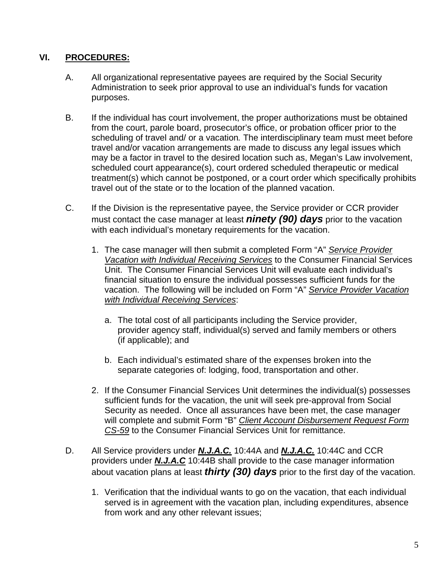### **VI. PROCEDURES:**

- A. All organizational representative payees are required by the Social Security Administration to seek prior approval to use an individual's funds for vacation purposes.
- B. If the individual has court involvement, the proper authorizations must be obtained from the court, parole board, prosecutor's office, or probation officer prior to the scheduling of travel and/ or a vacation*.* The interdisciplinary team must meet before travel and/or vacation arrangements are made to discuss any legal issues which may be a factor in travel to the desired location such as, Megan's Law involvement, scheduled court appearance(s), court ordered scheduled therapeutic or medical treatment(s) which cannot be postponed, or a court order which specifically prohibits travel out of the state or to the location of the planned vacation.
- C. If the Division is the representative payee, the Service provider or CCR provider must contact the case manager at least *ninety (90) days* prior to the vacation with each individual's monetary requirements for the vacation.
	- 1. The case manager will then submit a completed Form "A" *Service Provider Vacation with Individual Receiving Services* to the Consumer Financial Services Unit. The Consumer Financial Services Unit will evaluate each individual's financial situation to ensure the individual possesses sufficient funds for the vacation. The following will be included on Form "A" *Service Provider Vacation with Individual Receiving Services*:
		- a. The total cost of all participants including the Service provider, provider agency staff, individual(s) served and family members or others (if applicable); and
		- b. Each individual's estimated share of the expenses broken into the separate categories of: lodging, food, transportation and other.
	- 2. If the Consumer Financial Services Unit determines the individual(s) possesses sufficient funds for the vacation, the unit will seek pre-approval from Social Security as needed. Once all assurances have been met, the case manager will complete and submit Form "B" *Client Account Disbursement Request Form CS-59* to the Consumer Financial Services Unit for remittance.
- D. All Service providers under *N.J.A.C.* 10:44A and *N.J.A.C.* 10:44C and CCR providers under *N.J.A.C* 10:44B shall provide to the case manager information about vacation plans at least *thirty (30) days* prior to the first day of the vacation.
	- 1. Verification that the individual wants to go on the vacation, that each individual served is in agreement with the vacation plan, including expenditures, absence from work and any other relevant issues;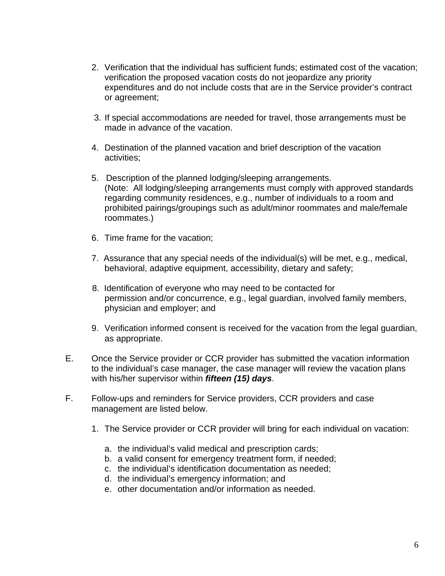- 2. Verification that the individual has sufficient funds; estimated cost of the vacation; verification the proposed vacation costs do not jeopardize any priority expenditures and do not include costs that are in the Service provider's contract or agreement;
- 3. If special accommodations are needed for travel, those arrangements must be made in advance of the vacation.
- 4. Destination of the planned vacation and brief description of the vacation activities;
- 5. Description of the planned lodging/sleeping arrangements. (Note: All lodging/sleeping arrangements must comply with approved standards regarding community residences, e.g., number of individuals to a room and prohibited pairings/groupings such as adult/minor roommates and male/female roommates.)
- 6. Time frame for the vacation;
- 7. Assurance that any special needs of the individual(s) will be met, e.g., medical, behavioral, adaptive equipment, accessibility, dietary and safety;
- 8. Identification of everyone who may need to be contacted for permission and/or concurrence, e.g., legal guardian, involved family members, physician and employer; and
- 9. Verification informed consent is received for the vacation from the legal guardian, as appropriate.
- E. Once the Service provider or CCR provider has submitted the vacation information to the individual's case manager, the case manager will review the vacation plans with his/her supervisor within *fifteen (15) days*.
- F. Follow-ups and reminders for Service providers, CCR providers and case management are listed below.
	- 1. The Service provider or CCR provider will bring for each individual on vacation:
		- a. the individual's valid medical and prescription cards;
		- b. a valid consent for emergency treatment form, if needed;
		- c. the individual's identification documentation as needed;
		- d. the individual's emergency information; and
		- e. other documentation and/or information as needed.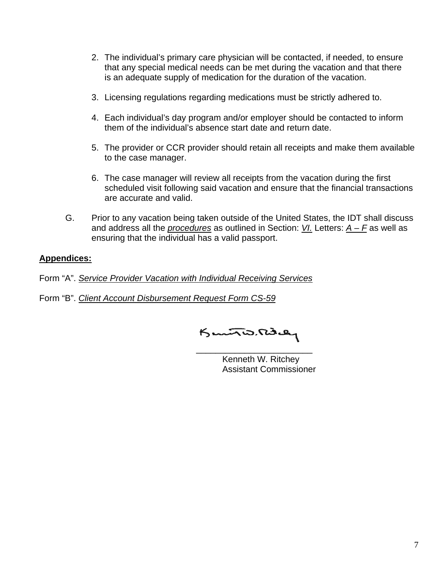- 2. The individual's primary care physician will be contacted, if needed, to ensure that any special medical needs can be met during the vacation and that there is an adequate supply of medication for the duration of the vacation.
- 3. Licensing regulations regarding medications must be strictly adhered to.
- 4. Each individual's day program and/or employer should be contacted to inform them of the individual's absence start date and return date.
- 5. The provider or CCR provider should retain all receipts and make them available to the case manager.
- 6. The case manager will review all receipts from the vacation during the first scheduled visit following said vacation and ensure that the financial transactions are accurate and valid.
- G. Prior to any vacation being taken outside of the United States, the IDT shall discuss and address all the *procedures* as outlined in Section: *VI.* Letters: *A – F* as well as ensuring that the individual has a valid passport.

#### **Appendices:**

Form "A". *Service Provider Vacation with Individual Receiving Services*

Form "B". *Client Account Disbursement Request Form CS-59*

\_\_\_\_\_\_\_\_\_\_\_\_\_\_\_\_\_\_\_\_\_\_\_\_

 Kenneth W. Ritchey Assistant Commissioner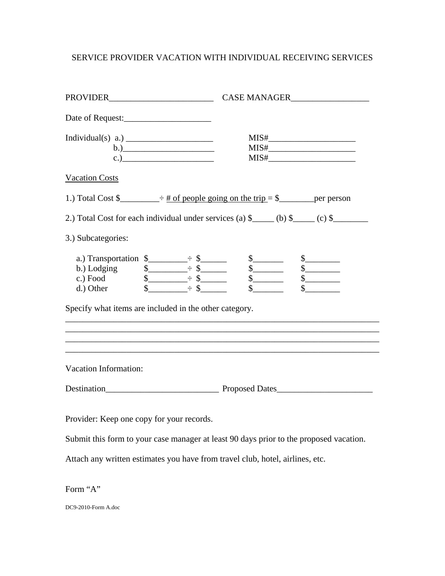# SERVICE PROVIDER VACATION WITH INDIVIDUAL RECEIVING SERVICES

| Date of Request:                                                                                                                                                                          |                                                                                                                                                                                                                                                                                                               |
|-------------------------------------------------------------------------------------------------------------------------------------------------------------------------------------------|---------------------------------------------------------------------------------------------------------------------------------------------------------------------------------------------------------------------------------------------------------------------------------------------------------------|
| (b.)                                                                                                                                                                                      | $\text{MIS#}\_$                                                                                                                                                                                                                                                                                               |
| <b>Vacation Costs</b>                                                                                                                                                                     |                                                                                                                                                                                                                                                                                                               |
|                                                                                                                                                                                           | 1.) Total Cost $\frac{1}{2}$ $\div$ $\frac{1}{2}$ $\div$ $\frac{1}{2}$ $\div$ $\frac{1}{2}$ $\div$ $\frac{1}{2}$ $\div$ $\frac{1}{2}$ $\div$ $\frac{1}{2}$ $\div$ $\frac{1}{2}$ $\div$ $\frac{1}{2}$ $\div$ $\frac{1}{2}$ $\div$ $\frac{1}{2}$ $\div$ $\frac{1}{2}$ $\div$ $\frac{1}{2}$ $\div$ $\frac{1}{2}$ |
|                                                                                                                                                                                           | 2.) Total Cost for each individual under services (a) $\frac{1}{2}$ (b) $\frac{1}{2}$ (c) $\frac{1}{2}$ (c) $\frac{1}{2}$                                                                                                                                                                                     |
| 3.) Subcategories:                                                                                                                                                                        |                                                                                                                                                                                                                                                                                                               |
| a.) Transportation $\frac{1}{2}$ $\frac{1}{2}$ $\frac{1}{2}$<br>d.) Other $\qquad \qquad \text{\AA}$ $\qquad \qquad \text{\AA}$<br>Specify what items are included in the other category. | $\frac{1}{2}$<br>$\frac{1}{2}$                                                                                                                                                                                                                                                                                |
| Vacation Information:                                                                                                                                                                     |                                                                                                                                                                                                                                                                                                               |
|                                                                                                                                                                                           |                                                                                                                                                                                                                                                                                                               |
| Provider: Keep one copy for your records.                                                                                                                                                 |                                                                                                                                                                                                                                                                                                               |
|                                                                                                                                                                                           | Submit this form to your case manager at least 90 days prior to the proposed vacation.                                                                                                                                                                                                                        |
| Attach any written estimates you have from travel club, hotel, airlines, etc.                                                                                                             |                                                                                                                                                                                                                                                                                                               |
| Form "A"                                                                                                                                                                                  |                                                                                                                                                                                                                                                                                                               |

DC9-2010-Form A.doc